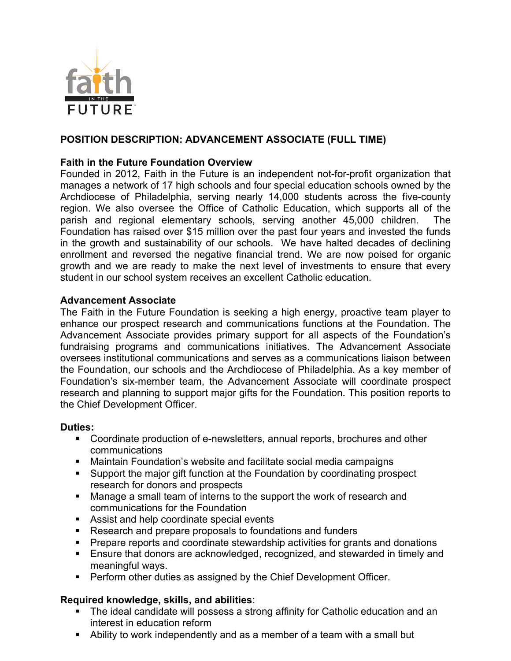

# **POSITION DESCRIPTION: ADVANCEMENT ASSOCIATE (FULL TIME)**

### **Faith in the Future Foundation Overview**

Founded in 2012, Faith in the Future is an independent not-for-profit organization that manages a network of 17 high schools and four special education schools owned by the Archdiocese of Philadelphia, serving nearly 14,000 students across the five-county region. We also oversee the Office of Catholic Education, which supports all of the parish and regional elementary schools, serving another 45,000 children. The Foundation has raised over \$15 million over the past four years and invested the funds in the growth and sustainability of our schools. We have halted decades of declining enrollment and reversed the negative financial trend. We are now poised for organic growth and we are ready to make the next level of investments to ensure that every student in our school system receives an excellent Catholic education.

#### **Advancement Associate**

The Faith in the Future Foundation is seeking a high energy, proactive team player to enhance our prospect research and communications functions at the Foundation. The Advancement Associate provides primary support for all aspects of the Foundation's fundraising programs and communications initiatives. The Advancement Associate oversees institutional communications and serves as a communications liaison between the Foundation, our schools and the Archdiocese of Philadelphia. As a key member of Foundation's six-member team, the Advancement Associate will coordinate prospect research and planning to support major gifts for the Foundation. This position reports to the Chief Development Officer.

#### **Duties:**

- Coordinate production of e-newsletters, annual reports, brochures and other communications
- § Maintain Foundation's website and facilitate social media campaigns
- Support the major gift function at the Foundation by coordinating prospect research for donors and prospects
- Manage a small team of interns to the support the work of research and communications for the Foundation
- Assist and help coordinate special events
- Research and prepare proposals to foundations and funders
- Prepare reports and coordinate stewardship activities for grants and donations
- Ensure that donors are acknowledged, recognized, and stewarded in timely and meaningful ways.
- Perform other duties as assigned by the Chief Development Officer.

### **Required knowledge, skills, and abilities**:

- The ideal candidate will possess a strong affinity for Catholic education and an interest in education reform
- Ability to work independently and as a member of a team with a small but